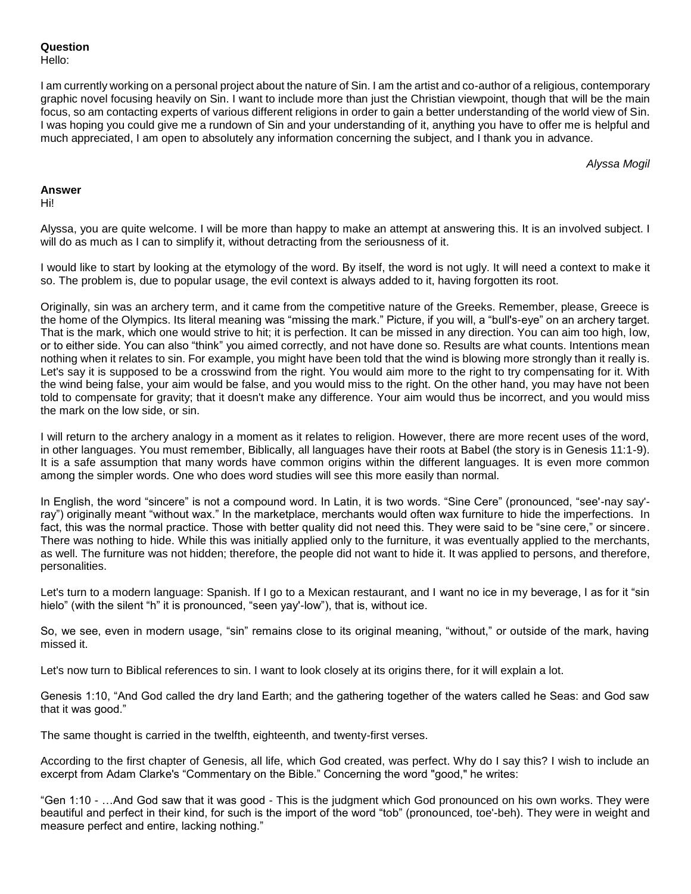**Question**

Hello:

I am currently working on a personal project about the nature of Sin. I am the artist and co-author of a religious, contemporary graphic novel focusing heavily on Sin. I want to include more than just the Christian viewpoint, though that will be the main focus, so am contacting experts of various different religions in order to gain a better understanding of the world view of Sin. I was hoping you could give me a rundown of Sin and your understanding of it, anything you have to offer me is helpful and much appreciated, I am open to absolutely any information concerning the subject, and I thank you in advance.

*Alyssa Mogil*

## **Answer**

Hi!

Alyssa, you are quite welcome. I will be more than happy to make an attempt at answering this. It is an involved subject. I will do as much as I can to simplify it, without detracting from the seriousness of it.

I would like to start by looking at the etymology of the word. By itself, the word is not ugly. It will need a context to make it so. The problem is, due to popular usage, the evil context is always added to it, having forgotten its root.

Originally, sin was an archery term, and it came from the competitive nature of the Greeks. Remember, please, Greece is the home of the Olympics. Its literal meaning was "missing the mark." Picture, if you will, a "bull's-eye" on an archery target. That is the mark, which one would strive to hit; it is perfection. It can be missed in any direction. You can aim too high, low, or to either side. You can also "think" you aimed correctly, and not have done so. Results are what counts. Intentions mean nothing when it relates to sin. For example, you might have been told that the wind is blowing more strongly than it really is. Let's say it is supposed to be a crosswind from the right. You would aim more to the right to try compensating for it. With the wind being false, your aim would be false, and you would miss to the right. On the other hand, you may have not been told to compensate for gravity; that it doesn't make any difference. Your aim would thus be incorrect, and you would miss the mark on the low side, or sin.

I will return to the archery analogy in a moment as it relates to religion. However, there are more recent uses of the word, in other languages. You must remember, Biblically, all languages have their roots at Babel (the story is in Genesis 11:1-9). It is a safe assumption that many words have common origins within the different languages. It is even more common among the simpler words. One who does word studies will see this more easily than normal.

In English, the word "sincere" is not a compound word. In Latin, it is two words. "Sine Cere" (pronounced, "see'-nay say' ray") originally meant "without wax." In the marketplace, merchants would often wax furniture to hide the imperfections. In fact, this was the normal practice. Those with better quality did not need this. They were said to be "sine cere," or sincere. There was nothing to hide. While this was initially applied only to the furniture, it was eventually applied to the merchants, as well. The furniture was not hidden; therefore, the people did not want to hide it. It was applied to persons, and therefore, personalities.

Let's turn to a modern language: Spanish. If I go to a Mexican restaurant, and I want no ice in my beverage, I as for it "sin hielo" (with the silent "h" it is pronounced, "seen yay'-low"), that is, without ice.

So, we see, even in modern usage, "sin" remains close to its original meaning, "without," or outside of the mark, having missed it.

Let's now turn to Biblical references to sin. I want to look closely at its origins there, for it will explain a lot.

Genesis 1:10, "And God called the dry land Earth; and the gathering together of the waters called he Seas: and God saw that it was good."

The same thought is carried in the twelfth, eighteenth, and twenty-first verses.

According to the first chapter of Genesis, all life, which God created, was perfect. Why do I say this? I wish to include an excerpt from Adam Clarke's "Commentary on the Bible." Concerning the word "good," he writes:

"Gen 1:10 - …And God saw that it was good - This is the judgment which God pronounced on his own works. They were beautiful and perfect in their kind, for such is the import of the word "tob" (pronounced, toe'-beh). They were in weight and measure perfect and entire, lacking nothing."